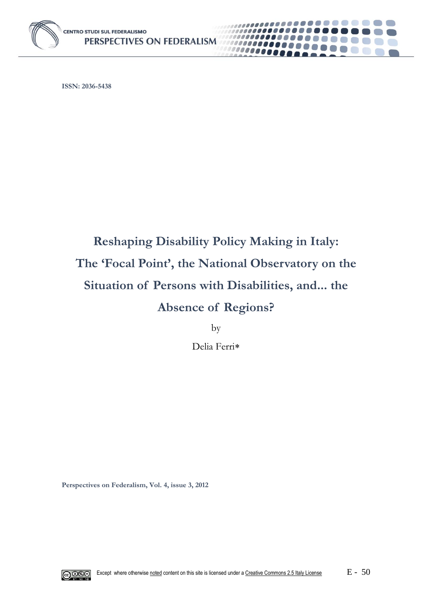

**ISSN: 2036-5438**

# **Reshaping Disability Policy Making in Italy: The 'Focal Point', the National Observatory on the Situation of Persons with Disabilities, and... the Absence of Regions?**

........

10000000 1000000

by

Delia Ferri

**Perspectives on Federalism, Vol. 4, issue 3, 2012**

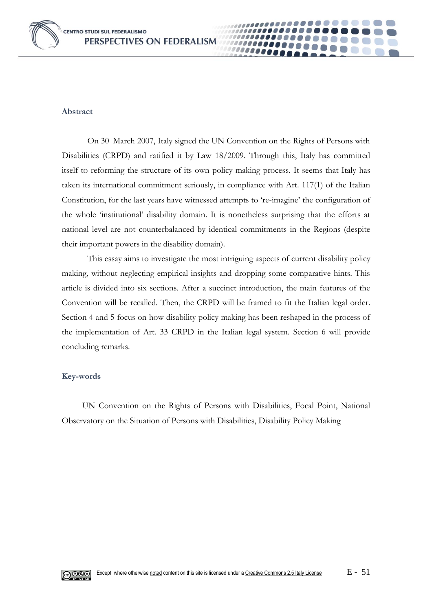

#### **Abstract**

On 30 March 2007, Italy signed the UN Convention on the Rights of Persons with Disabilities (CRPD) and ratified it by Law 18/2009. Through this, Italy has committed itself to reforming the structure of its own policy making process. It seems that Italy has taken its international commitment seriously, in compliance with Art. 117(1) of the Italian Constitution, for the last years have witnessed attempts to 're-imagine' the configuration of the whole 'institutional' disability domain. It is nonetheless surprising that the efforts at national level are not counterbalanced by identical commitments in the Regions (despite their important powers in the disability domain).

0000

This essay aims to investigate the most intriguing aspects of current disability policy making, without neglecting empirical insights and dropping some comparative hints. This article is divided into six sections. After a succinct introduction, the main features of the Convention will be recalled. Then, the CRPD will be framed to fit the Italian legal order. Section 4 and 5 focus on how disability policy making has been reshaped in the process of the implementation of Art. 33 CRPD in the Italian legal system*.* Section 6 will provide concluding remarks.

#### **Key-words**

UN Convention on the Rights of Persons with Disabilities, Focal Point, National Observatory on the Situation of Persons with Disabilities, Disability Policy Making

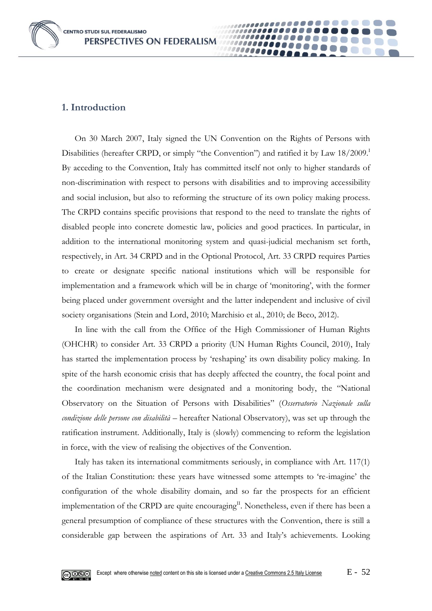**CENTRO STUDI SUL FEDERALISMO** PERSPECTIVES ON FEDERALISM

#### **1. Introduction**

On 30 March 2007, Italy signed the UN Convention on the Rights of Persons with Disabilities (hereafter CRPD, or simply "the Convention") and ratified it by Law  $18/2009$ . By acceding to the Convention, Italy has committed itself not only to higher standards of non-discrimination with respect to persons with disabilities and to improving accessibility and social inclusion, but also to reforming the structure of its own policy making process. The CRPD contains specific provisions that respond to the need to translate the rights of disabled people into concrete domestic law, policies and good practices. In particular, in addition to the international monitoring system and quasi-judicial mechanism set forth, respectively, in Art. 34 CRPD and in the Optional Protocol, Art. 33 CRPD requires Parties to create or designate specific national institutions which will be responsible for implementation and a framework which will be in charge of 'monitoring', with the former being placed under government oversight and the latter independent and inclusive of civil society organisations (Stein and Lord, 2010; Marchisio et al., 2010; de Beco, 2012).

0000

In line with the call from the Office of the High Commissioner of Human Rights (OHCHR) to consider Art. 33 CRPD a priority (UN Human Rights Council, 2010), Italy has started the implementation process by 'reshaping' its own disability policy making. In spite of the harsh economic crisis that has deeply affected the country, the focal point and the coordination mechanism were designated and a monitoring body, the "National Observatory on the Situation of Persons with Disabilities" (*Osservatorio Nazionale sulla condizione delle persone con disabilità* – hereafter National Observatory), was set up through the ratification instrument. Additionally, Italy is (slowly) commencing to reform the legislation in force, with the view of realising the objectives of the Convention.

Italy has taken its international commitments seriously, in compliance with Art. 117(1) of the Italian Constitution: these years have witnessed some attempts to 're-imagine' the configuration of the whole disability domain, and so far the prospects for an efficient implementation of the CRPD are quite encouraging<sup>II</sup>. Nonetheless, even if there has been a general presumption of compliance of these structures with the Convention, there is still a considerable gap between the aspirations of Art. 33 and Italy's achievements. Looking

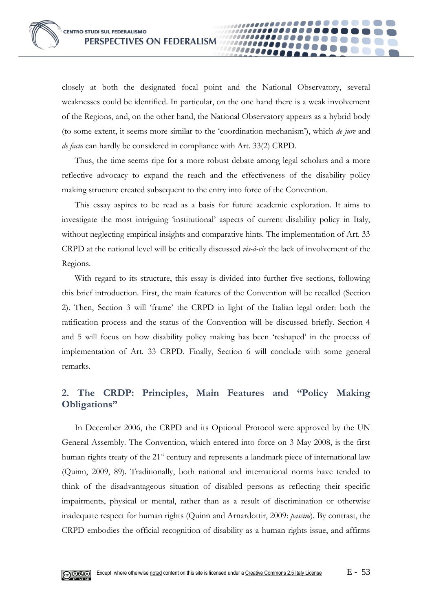closely at both the designated focal point and the National Observatory, several weaknesses could be identified. In particular, on the one hand there is a weak involvement of the Regions, and, on the other hand, the National Observatory appears as a hybrid body (to some extent, it seems more similar to the 'coordination mechanism'), which *de jure* and *de facto* can hardly be considered in compliance with Art. 33(2) CRPD.

00000

Thus, the time seems ripe for a more robust debate among legal scholars and a more reflective advocacy to expand the reach and the effectiveness of the disability policy making structure created subsequent to the entry into force of the Convention.

This essay aspires to be read as a basis for future academic exploration. It aims to investigate the most intriguing 'institutional' aspects of current disability policy in Italy, without neglecting empirical insights and comparative hints. The implementation of Art. 33 CRPD at the national level will be critically discussed *vis-à-vis* the lack of involvement of the Regions.

With regard to its structure, this essay is divided into further five sections, following this brief introduction. First, the main features of the Convention will be recalled (Section 2). Then, Section 3 will 'frame' the CRPD in light of the Italian legal order: both the ratification process and the status of the Convention will be discussed briefly. Section 4 and 5 will focus on how disability policy making has been 'reshaped' in the process of implementation of Art. 33 CRPD*.* Finally, Section 6 will conclude with some general remarks.

## **2. The CRDP: Principles, Main Features and "Policy Making Obligations"**

In December 2006, the CRPD and its Optional Protocol were approved by the UN General Assembly. The Convention, which entered into force on 3 May 2008, is the first human rights treaty of the 21<sup>st</sup> century and represents a landmark piece of international law (Quinn, 2009, 89). Traditionally, both national and international norms have tended to think of the disadvantageous situation of disabled persons as reflecting their specific impairments, physical or mental, rather than as a result of discrimination or otherwise inadequate respect for human rights (Quinn and Arnardottir, 2009: *passim*). By contrast, the CRPD embodies the official recognition of disability as a human rights issue, and affirms

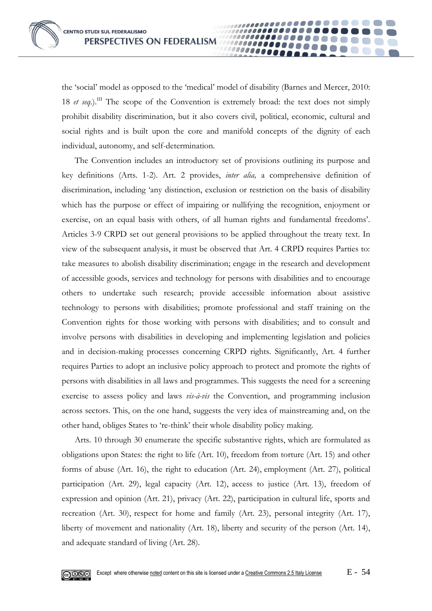the 'social' model as opposed to the 'medical' model of disability (Barnes and Mercer, 2010: 18 *et seq.*).<sup>III</sup> The scope of the Convention is extremely broad: the text does not simply prohibit disability discrimination, but it also covers civil, political, economic, cultural and social rights and is built upon the core and manifold concepts of the dignity of each individual, autonomy, and self-determination.

00000

The Convention includes an introductory set of provisions outlining its purpose and key definitions (Arts. 1-2). Art. 2 provides, *inter alia,* a comprehensive definition of discrimination, including 'any distinction, exclusion or restriction on the basis of disability which has the purpose or effect of impairing or nullifying the recognition, enjoyment or exercise, on an equal basis with others, of all human rights and fundamental freedoms'. Articles 3-9 CRPD set out general provisions to be applied throughout the treaty text. In view of the subsequent analysis, it must be observed that Art. 4 CRPD requires Parties to: take measures to abolish disability discrimination; engage in the research and development of accessible goods, services and technology for persons with disabilities and to encourage others to undertake such research; provide accessible information about assistive technology to persons with disabilities; promote professional and staff training on the Convention rights for those working with persons with disabilities; and to consult and involve persons with disabilities in developing and implementing legislation and policies and in decision-making processes concerning CRPD rights. Significantly, Art. 4 further requires Parties to adopt an inclusive policy approach to protect and promote the rights of persons with disabilities in all laws and programmes. This suggests the need for a screening exercise to assess policy and laws *vis-à-vis* the Convention, and programming inclusion across sectors. This, on the one hand, suggests the very idea of mainstreaming and, on the other hand, obliges States to 're-think' their whole disability policy making.

Arts. 10 through 30 enumerate the specific substantive rights, which are formulated as obligations upon States: the right to life (Art. 10), freedom from torture (Art. 15) and other forms of abuse (Art. 16), the right to education (Art. 24), employment (Art. 27), political participation (Art. 29), legal capacity (Art. 12), access to justice (Art. 13), freedom of expression and opinion (Art. 21), privacy (Art. 22), participation in cultural life, sports and recreation (Art. 30), respect for home and family (Art. 23), personal integrity (Art. 17), liberty of movement and nationality (Art. 18), liberty and security of the person (Art. 14), and adequate standard of living (Art. 28).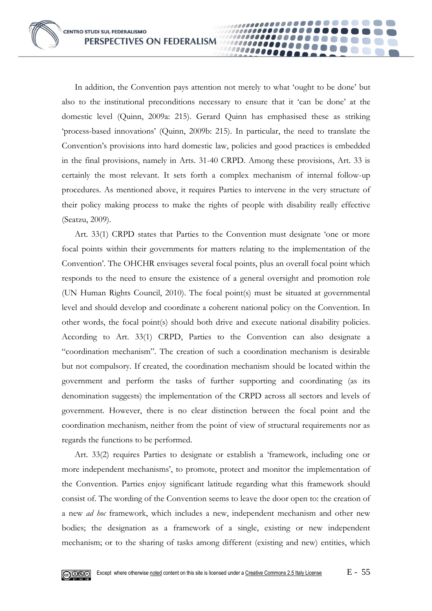In addition, the Convention pays attention not merely to what 'ought to be done' but also to the institutional preconditions necessary to ensure that it 'can be done' at the domestic level (Quinn, 2009a: 215). Gerard Quinn has emphasised these as striking 'process-based innovations' (Quinn, 2009b: 215). In particular, the need to translate the Convention's provisions into hard domestic law, policies and good practices is embedded in the final provisions, namely in Arts. 31-40 CRPD. Among these provisions, Art. 33 is certainly the most relevant. It sets forth a complex mechanism of internal follow-up procedures. As mentioned above, it requires Parties to intervene in the very structure of their policy making process to make the rights of people with disability really effective (Seatzu, 2009).

10000

Art. 33(1) CRPD states that Parties to the Convention must designate 'one or more focal points within their governments for matters relating to the implementation of the Convention'. The OHCHR envisages several focal points, plus an overall focal point which responds to the need to ensure the existence of a general oversight and promotion role (UN Human Rights Council, 2010). The focal point(s) must be situated at governmental level and should develop and coordinate a coherent national policy on the Convention. In other words, the focal point(s) should both drive and execute national disability policies. According to Art. 33(1) CRPD, Parties to the Convention can also designate a "coordination mechanism". The creation of such a coordination mechanism is desirable but not compulsory. If created, the coordination mechanism should be located within the government and perform the tasks of further supporting and coordinating (as its denomination suggests) the implementation of the CRPD across all sectors and levels of government. However, there is no clear distinction between the focal point and the coordination mechanism, neither from the point of view of structural requirements nor as regards the functions to be performed.

Art. 33(2) requires Parties to designate or establish a 'framework, including one or more independent mechanisms', to promote, protect and monitor the implementation of the Convention. Parties enjoy significant latitude regarding what this framework should consist of. The wording of the Convention seems to leave the door open to: the creation of a new *ad hoc* framework, which includes a new, independent mechanism and other new bodies; the designation as a framework of a single, existing or new independent mechanism; or to the sharing of tasks among different (existing and new) entities, which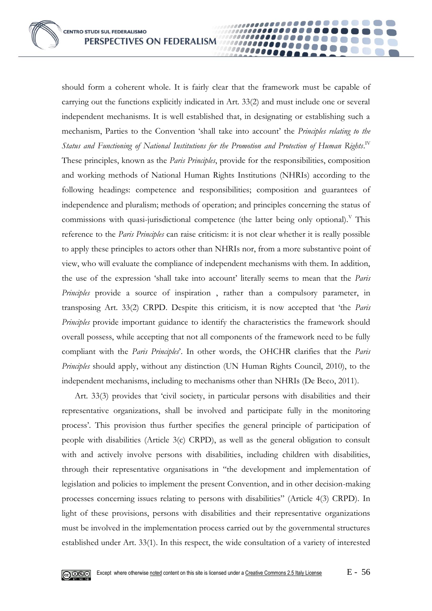should form a coherent whole. It is fairly clear that the framework must be capable of carrying out the functions explicitly indicated in Art. 33(2) and must include one or several independent mechanisms. It is well established that, in designating or establishing such a mechanism, Parties to the Convention 'shall take into account' the *Principles relating to the*  Status and Functioning of National Institutions for the Promotion and Protection of Human Rights. $^{\text{\tiny{IV}}}$ These principles, known as the *Paris Principles*, provide for the responsibilities, composition and working methods of National Human Rights Institutions (NHRIs) according to the following headings: competence and responsibilities; composition and guarantees of independence and pluralism; methods of operation; and principles concerning the status of commissions with quasi-jurisdictional competence (the latter being only optional).<sup>V</sup> This reference to the *Paris Principles* can raise criticism: it is not clear whether it is really possible to apply these principles to actors other than NHRIs nor, from a more substantive point of view, who will evaluate the compliance of independent mechanisms with them. In addition, the use of the expression 'shall take into account' literally seems to mean that the *Paris Principles* provide a source of inspiration , rather than a compulsory parameter, in transposing Art. 33(2) CRPD. Despite this criticism, it is now accepted that 'the *Paris Principles* provide important guidance to identify the characteristics the framework should overall possess, while accepting that not all components of the framework need to be fully compliant with the *Paris Principles*'. In other words, the OHCHR clarifies that the *Paris Principles* should apply, without any distinction (UN Human Rights Council, 2010), to the independent mechanisms, including to mechanisms other than NHRIs (De Beco, 2011).

100000000 10000

Art. 33(3) provides that 'civil society, in particular persons with disabilities and their representative organizations, shall be involved and participate fully in the monitoring process'. This provision thus further specifies the general principle of participation of people with disabilities (Article 3(c) CRPD), as well as the general obligation to consult with and actively involve persons with disabilities, including children with disabilities, through their representative organisations in "the development and implementation of legislation and policies to implement the present Convention, and in other decision-making processes concerning issues relating to persons with disabilities" (Article 4(3) CRPD). In light of these provisions, persons with disabilities and their representative organizations must be involved in the implementation process carried out by the governmental structures established under Art. 33(1). In this respect, the wide consultation of a variety of interested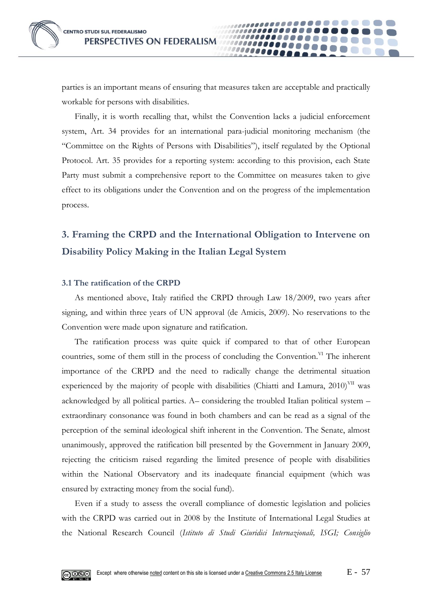

parties is an important means of ensuring that measures taken are acceptable and practically workable for persons with disabilities.

**10000** 

Finally, it is worth recalling that, whilst the Convention lacks a judicial enforcement system, Art. 34 provides for an international para-judicial monitoring mechanism (the "Committee on the Rights of Persons with Disabilities"), itself regulated by the Optional Protocol. Art. 35 provides for a reporting system: according to this provision, each State Party must submit a comprehensive report to the Committee on measures taken to give effect to its obligations under the Convention and on the progress of the implementation process.

# **3. Framing the CRPD and the International Obligation to Intervene on Disability Policy Making in the Italian Legal System**

#### **3.1 The ratification of the CRPD**

As mentioned above, Italy ratified the CRPD through Law 18/2009, two years after signing, and within three years of UN approval (de Amicis, 2009). No reservations to the Convention were made upon signature and ratification.

The ratification process was quite quick if compared to that of other European countries, some of them still in the process of concluding the Convention.  $\mathbb{V}^{\text{I}}$  The inherent importance of the CRPD and the need to radically change the detrimental situation experienced by the majority of people with disabilities (Chiatti and Lamura,  $2010$ )<sup>VII</sup> was acknowledged by all political parties. A– considering the troubled Italian political system – extraordinary consonance was found in both chambers and can be read as a signal of the perception of the seminal ideological shift inherent in the Convention. The Senate, almost unanimously, approved the ratification bill presented by the Government in January 2009, rejecting the criticism raised regarding the limited presence of people with disabilities within the National Observatory and its inadequate financial equipment (which was ensured by extracting money from the social fund).

Even if a study to assess the overall compliance of domestic legislation and policies with the CRPD was carried out in 2008 by the Institute of International Legal Studies at the National Research Council (*Istituto di Studi Giuridici Internazionali, ISGI; Consiglio* 

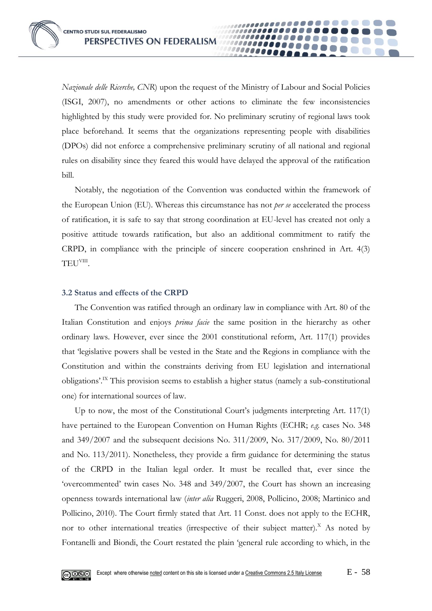*Nazionale delle Ricerche, CNR*) upon the request of the Ministry of Labour and Social Policies (ISGI, 2007), no amendments or other actions to eliminate the few inconsistencies highlighted by this study were provided for. No preliminary scrutiny of regional laws took place beforehand. It seems that the organizations representing people with disabilities (DPOs) did not enforce a comprehensive preliminary scrutiny of all national and regional rules on disability since they feared this would have delayed the approval of the ratification bill.

**0000** 

Notably, the negotiation of the Convention was conducted within the framework of the European Union (EU). Whereas this circumstance has not *per se* accelerated the process of ratification, it is safe to say that strong coordination at EU-level has created not only a positive attitude towards ratification, but also an additional commitment to ratify the CRPD, in compliance with the principle of sincere cooperation enshrined in Art. 4(3) TEU<sup>viii</sup>.

#### **3.2 Status and effects of the CRPD**

The Convention was ratified through an ordinary law in compliance with Art. 80 of the Italian Constitution and enjoys *prima facie* the same position in the hierarchy as other ordinary laws. However, ever since the 2001 constitutional reform, Art. 117(1) provides that 'legislative powers shall be vested in the State and the Regions in compliance with the Constitution and within the constraints deriving from EU legislation and international obligations'.IX This provision seems to establish a higher status (namely a sub-constitutional one) for international sources of law.

Up to now, the most of the Constitutional Court's judgments interpreting Art. 117(1) have pertained to the European Convention on Human Rights (ECHR; *e.g.* cases No. 348 and 349/2007 and the subsequent decisions No. 311/2009, No. 317/2009, No. 80/2011 and No. 113/2011). Nonetheless, they provide a firm guidance for determining the status of the CRPD in the Italian legal order. It must be recalled that, ever since the 'overcommented' twin cases No. 348 and 349/2007, the Court has shown an increasing openness towards international law (*inter alia* Ruggeri, 2008, Pollicino, 2008; Martinico and Pollicino, 2010). The Court firmly stated that Art. 11 Const. does not apply to the ECHR, nor to other international treaties (irrespective of their subject matter).<sup>X</sup> As noted by Fontanelli and Biondi, the Court restated the plain 'general rule according to which, in the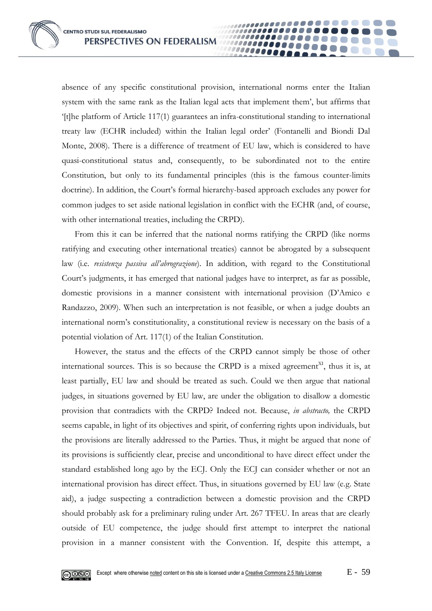absence of any specific constitutional provision, international norms enter the Italian system with the same rank as the Italian legal acts that implement them', but affirms that '[t]he platform of Article 117(1) guarantees an infra-constitutional standing to international treaty law (ECHR included) within the Italian legal order' (Fontanelli and Biondi Dal Monte, 2008). There is a difference of treatment of EU law, which is considered to have quasi-constitutional status and, consequently, to be subordinated not to the entire Constitution, but only to its fundamental principles (this is the famous counter-limits doctrine). In addition, the Court's formal hierarchy-based approach excludes any power for common judges to set aside national legislation in conflict with the ECHR (and, of course, with other international treaties, including the CRPD).

00000

From this it can be inferred that the national norms ratifying the CRPD (like norms ratifying and executing other international treaties) cannot be abrogated by a subsequent law (i.e. *resistenza passiva all'abrograzione*). In addition, with regard to the Constitutional Court's judgments, it has emerged that national judges have to interpret, as far as possible, domestic provisions in a manner consistent with international provision (D'Amico e Randazzo, 2009). When such an interpretation is not feasible, or when a judge doubts an international norm's constitutionality, a constitutional review is necessary on the basis of a potential violation of Art. 117(1) of the Italian Constitution.

However, the status and the effects of the CRPD cannot simply be those of other international sources. This is so because the CRPD is a mixed agreement<sup>XI</sup>, thus it is, at least partially, EU law and should be treated as such. Could we then argue that national judges, in situations governed by EU law, are under the obligation to disallow a domestic provision that contradicts with the CRPD? Indeed not. Because, *in abstracto,* the CRPD seems capable, in light of its objectives and spirit, of conferring rights upon individuals, but the provisions are literally addressed to the Parties. Thus, it might be argued that none of its provisions is sufficiently clear, precise and unconditional to have direct effect under the standard established long ago by the ECJ. Only the ECJ can consider whether or not an international provision has direct effect. Thus, in situations governed by EU law (e.g. State aid), a judge suspecting a contradiction between a domestic provision and the CRPD should probably ask for a preliminary ruling under Art. 267 TFEU. In areas that are clearly outside of EU competence, the judge should first attempt to interpret the national provision in a manner consistent with the Convention. If, despite this attempt, a

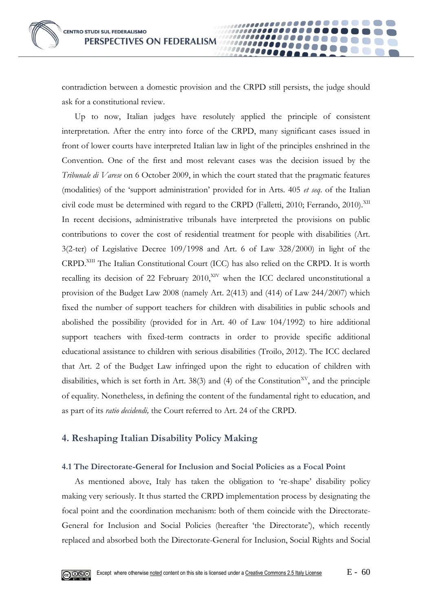contradiction between a domestic provision and the CRPD still persists, the judge should ask for a constitutional review.

10000

Up to now, Italian judges have resolutely applied the principle of consistent interpretation. After the entry into force of the CRPD, many significant cases issued in front of lower courts have interpreted Italian law in light of the principles enshrined in the Convention. One of the first and most relevant cases was the decision issued by the *Tribunale di Varese* on 6 October 2009, in which the court stated that the pragmatic features (modalities) of the 'support administration' provided for in Arts. 405 *et seq*. of the Italian civil code must be determined with regard to the CRPD (Falletti, 2010; Ferrando, 2010).<sup>XII</sup> In recent decisions, administrative tribunals have interpreted the provisions on public contributions to cover the cost of residential treatment for people with disabilities (Art. 3(2-ter) of Legislative Decree 109/1998 and Art. 6 of Law 328/2000) in light of the CRPD.<sup>XIII</sup> The Italian Constitutional Court (ICC) has also relied on the CRPD. It is worth recalling its decision of 22 February 2010, $XIV$  when the ICC declared unconstitutional a provision of the Budget Law 2008 (namely Art. 2(413) and (414) of Law 244/2007) which fixed the number of support teachers for children with disabilities in public schools and abolished the possibility (provided for in Art. 40 of Law 104/1992) to hire additional support teachers with fixed-term contracts in order to provide specific additional educational assistance to children with serious disabilities (Troilo, 2012). The ICC declared that Art. 2 of the Budget Law infringed upon the right to education of children with disabilities, which is set forth in Art. 38(3) and (4) of the Constitution<sup>XV</sup>, and the principle of equality. Nonetheless, in defining the content of the fundamental right to education, and as part of its *ratio decidendi,* the Court referred to Art. 24 of the CRPD.

## **4. Reshaping Italian Disability Policy Making**

#### **4.1 The Directorate-General for Inclusion and Social Policies as a Focal Point**

As mentioned above, Italy has taken the obligation to 're-shape' disability policy making very seriously. It thus started the CRPD implementation process by designating the focal point and the coordination mechanism: both of them coincide with the Directorate-General for Inclusion and Social Policies (hereafter 'the Directorate'), which recently replaced and absorbed both the Directorate-General for Inclusion, Social Rights and Social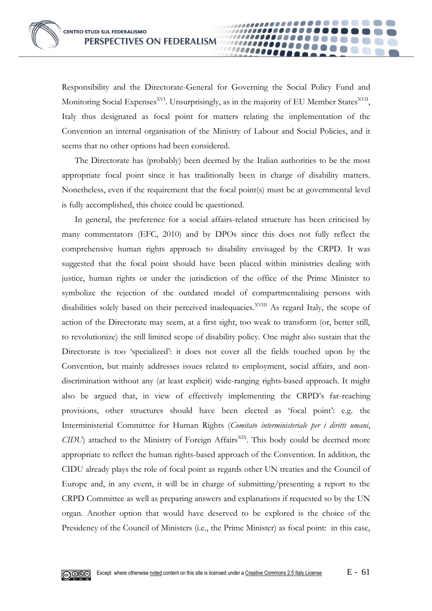Responsibility and the Directorate-General for Governing the Social Policy Fund and Monitoring Social Expenses<sup>XVI</sup>. Unsurprisingly, as in the majority of EU Member States<sup>XVII</sup>, Italy thus designated as focal point for matters relating the implementation of the Convention an internal organisation of the Ministry of Labour and Social Policies, and it seems that no other options had been considered.

00000

The Directorate has (probably) been deemed by the Italian authorities to be the most appropriate focal point since it has traditionally been in charge of disability matters. Nonetheless, even if the requirement that the focal point(s) must be at governmental level is fully accomplished, this choice could be questioned.

In general, the preference for a social affairs-related structure has been criticised by many commentators (EFC, 2010) and by DPOs since this does not fully reflect the comprehensive human rights approach to disability envisaged by the CRPD. It was suggested that the focal point should have been placed within ministries dealing with justice, human rights or under the jurisdiction of the office of the Prime Minister to symbolize the rejection of the outdated model of compartmentalising persons with disabilities solely based on their perceived inadequacies.<sup>XVIII</sup> As regard Italy, the scope of action of the Directorate may seem, at a first sight, too weak to transform (or, better still, to revolutionize) the still limited scope of disability policy. One might also sustain that the Directorate is too 'specialized': it does not cover all the fields touched upon by the Convention, but mainly addresses issues related to employment, social affairs, and nondiscrimination without any (at least explicit) wide-ranging rights-based approach. It might also be argued that, in view of effectively implementing the CRPD's far-reaching provisions, other structures should have been elected as 'focal point': e.g. the Interministerial Committee for Human Rights (*Comitato interministeriale per i diritti umani*, *CIDU*) attached to the Ministry of Foreign Affairs<sup>XIX</sup>. This body could be deemed more appropriate to reflect the human rights-based approach of the Convention. In addition, the CIDU already plays the role of focal point as regards other UN treaties and the Council of Europe and, in any event, it will be in charge of submitting/presenting a report to the CRPD Committee as well as preparing answers and explanations if requested so by the UN organ. Another option that would have deserved to be explored is the choice of the Presidency of the Council of Ministers (i.e., the Prime Minister) as focal point: in this case,

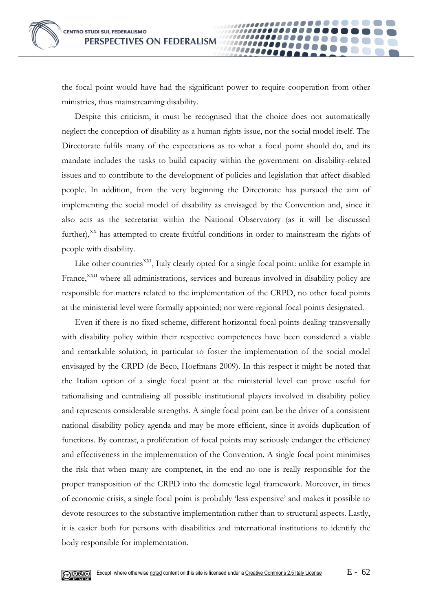

the focal point would have had the significant power to require cooperation from other ministries, thus mainstreaming disability.

*.....* 

Despite this criticism, it must be recognised that the choice does not automatically neglect the conception of disability as a human rights issue, nor the social model itself. The Directorate fulfils many of the expectations as to what a focal point should do, and its mandate includes the tasks to build capacity within the government on disability-related issues and to contribute to the development of policies and legislation that affect disabled people. In addition, from the very beginning the Directorate has pursued the aim of implementing the social model of disability as envisaged by the Convention and, since it also acts as the secretariat within the National Observatory (as it will be discussed further), $X<sup>X</sup>$  has attempted to create fruitful conditions in order to mainstream the rights of people with disability.

Like other countries<sup>XXI</sup>, Italy clearly opted for a single focal point: unlike for example in France,<sup>XXII</sup> where all administrations, services and bureaus involved in disability policy are responsible for matters related to the implementation of the CRPD, no other focal points at the ministerial level were formally appointed; nor were regional focal points designated.

Even if there is no fixed scheme, different horizontal focal points dealing transversally with disability policy within their respective competences have been considered a viable and remarkable solution, in particular to foster the implementation of the social model envisaged by the CRPD (de Beco, Hoefmans 2009). In this respect it might be noted that the Italian option of a single focal point at the ministerial level can prove useful for rationalising and centralising all possible institutional players involved in disability policy and represents considerable strengths. A single focal point can be the driver of a consistent national disability policy agenda and may be more efficient, since it avoids duplication of functions. By contrast, a proliferation of focal points may seriously endanger the efficiency and effectiveness in the implementation of the Convention. A single focal point minimises the risk that when many are comptenet, in the end no one is really responsible for the proper transposition of the CRPD into the domestic legal framework. Moreover, in times of economic crisis, a single focal point is probably 'less expensive' and makes it possible to devote resources to the substantive implementation rather than to structural aspects. Lastly, it is easier both for persons with disabilities and international institutions to identify the body responsible for implementation.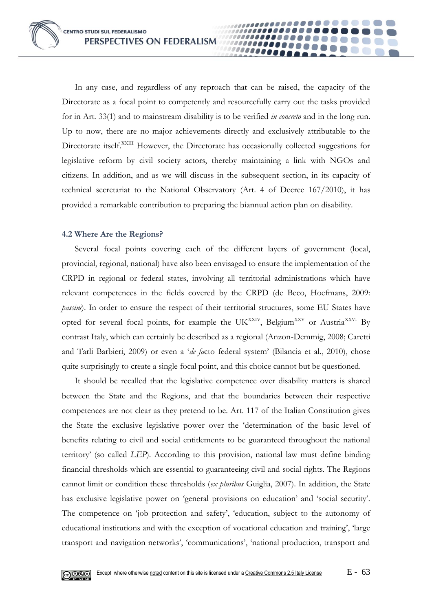In any case, and regardless of any reproach that can be raised, the capacity of the Directorate as a focal point to competently and resourcefully carry out the tasks provided for in Art. 33(1) and to mainstream disability is to be verified *in concreto* and in the long run. Up to now, there are no major achievements directly and exclusively attributable to the Directorate itself.<sup>XXIII</sup> However, the Directorate has occasionally collected suggestions for legislative reform by civil society actors, thereby maintaining a link with NGOs and citizens. In addition, and as we will discuss in the subsequent section, in its capacity of technical secretariat to the National Observatory (Art. 4 of Decree 167/2010), it has provided a remarkable contribution to preparing the biannual action plan on disability.

00000

#### **4.2 Where Are the Regions?**

Several focal points covering each of the different layers of government (local, provincial, regional, national) have also been envisaged to ensure the implementation of the CRPD in regional or federal states, involving all territorial administrations which have relevant competences in the fields covered by the CRPD (de Beco, Hoefmans, 2009: *passim*). In order to ensure the respect of their territorial structures, some EU States have opted for several focal points, for example the UK<sup>XXIV</sup>, Belgium<sup>XXV</sup> or Austria<sup>XXVI</sup> By contrast Italy, which can certainly be described as a regional (Anzon-Demmig, 2008; Caretti and Tarli Barbieri, 2009) or even a '*de fa*cto federal system' (Bilancia et al., 2010), chose quite surprisingly to create a single focal point, and this choice cannot but be questioned.

It should be recalled that the legislative competence over disability matters is shared between the State and the Regions, and that the boundaries between their respective competences are not clear as they pretend to be. Art. 117 of the Italian Constitution gives the State the exclusive legislative power over the 'determination of the basic level of benefits relating to civil and social entitlements to be guaranteed throughout the national territory' (so called *LEP*). According to this provision, national law must define binding financial thresholds which are essential to guaranteeing civil and social rights. The Regions cannot limit or condition these thresholds (*ex pluribus* Guiglia, 2007). In addition, the State has exclusive legislative power on 'general provisions on education' and 'social security'. The competence on 'job protection and safety', 'education, subject to the autonomy of educational institutions and with the exception of vocational education and training', 'large transport and navigation networks', 'communications', 'national production, transport and

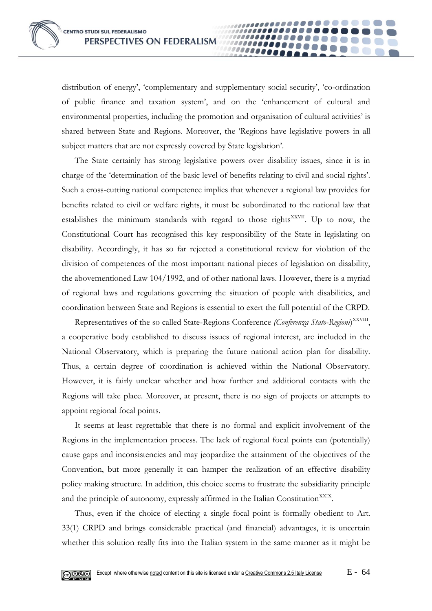distribution of energy', 'complementary and supplementary social security', 'co-ordination of public finance and taxation system', and on the 'enhancement of cultural and environmental properties, including the promotion and organisation of cultural activities' is shared between State and Regions. Moreover, the 'Regions have legislative powers in all subject matters that are not expressly covered by State legislation'.

00000

The State certainly has strong legislative powers over disability issues, since it is in charge of the 'determination of the basic level of benefits relating to civil and social rights'. Such a cross-cutting national competence implies that whenever a regional law provides for benefits related to civil or welfare rights, it must be subordinated to the national law that establishes the minimum standards with regard to those rights<sup>XXVII</sup>. Up to now, the Constitutional Court has recognised this key responsibility of the State in legislating on disability. Accordingly, it has so far rejected a constitutional review for violation of the division of competences of the most important national pieces of legislation on disability, the abovementioned Law 104/1992, and of other national laws. However, there is a myriad of regional laws and regulations governing the situation of people with disabilities, and coordination between State and Regions is essential to exert the full potential of the CRPD.

Representatives of the so called State-Regions Conference (Conferenza Stato-Regioni)<sup>XXVIII</sup>, a cooperative body established to discuss issues of regional interest, are included in the National Observatory, which is preparing the future national action plan for disability. Thus, a certain degree of coordination is achieved within the National Observatory. However, it is fairly unclear whether and how further and additional contacts with the Regions will take place. Moreover, at present, there is no sign of projects or attempts to appoint regional focal points.

It seems at least regrettable that there is no formal and explicit involvement of the Regions in the implementation process. The lack of regional focal points can (potentially) cause gaps and inconsistencies and may jeopardize the attainment of the objectives of the Convention, but more generally it can hamper the realization of an effective disability policy making structure. In addition, this choice seems to frustrate the subsidiarity principle and the principle of autonomy, expressly affirmed in the Italian Constitution<sup>XXIX</sup>.

Thus, even if the choice of electing a single focal point is formally obedient to Art. 33(1) CRPD and brings considerable practical (and financial) advantages, it is uncertain whether this solution really fits into the Italian system in the same manner as it might be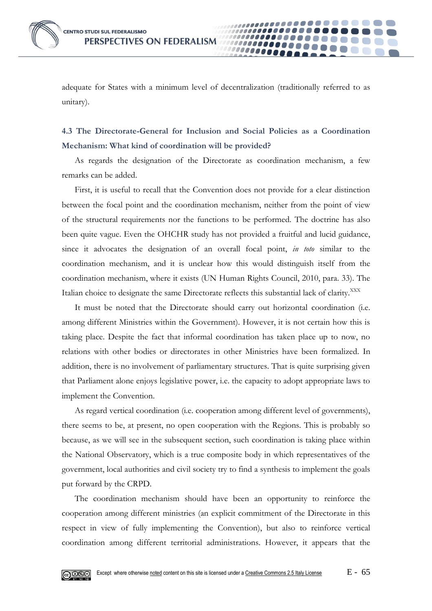adequate for States with a minimum level of decentralization (traditionally referred to as unitary).

00000

## **4.3 The Directorate-General for Inclusion and Social Policies as a Coordination Mechanism: What kind of coordination will be provided?**

As regards the designation of the Directorate as coordination mechanism, a few remarks can be added.

First, it is useful to recall that the Convention does not provide for a clear distinction between the focal point and the coordination mechanism, neither from the point of view of the structural requirements nor the functions to be performed. The doctrine has also been quite vague. Even the OHCHR study has not provided a fruitful and lucid guidance, since it advocates the designation of an overall focal point, *in toto* similar to the coordination mechanism, and it is unclear how this would distinguish itself from the coordination mechanism, where it exists (UN Human Rights Council, 2010, para. 33). The Italian choice to designate the same Directorate reflects this substantial lack of clarity.<sup>XXX</sup>

It must be noted that the Directorate should carry out horizontal coordination (i.e. among different Ministries within the Government). However, it is not certain how this is taking place. Despite the fact that informal coordination has taken place up to now, no relations with other bodies or directorates in other Ministries have been formalized. In addition, there is no involvement of parliamentary structures. That is quite surprising given that Parliament alone enjoys legislative power, i.e. the capacity to adopt appropriate laws to implement the Convention.

As regard vertical coordination (i.e. cooperation among different level of governments), there seems to be, at present, no open cooperation with the Regions. This is probably so because, as we will see in the subsequent section, such coordination is taking place within the National Observatory, which is a true composite body in which representatives of the government, local authorities and civil society try to find a synthesis to implement the goals put forward by the CRPD.

The coordination mechanism should have been an opportunity to reinforce the cooperation among different ministries (an explicit commitment of the Directorate in this respect in view of fully implementing the Convention), but also to reinforce vertical coordination among different territorial administrations. However, it appears that the

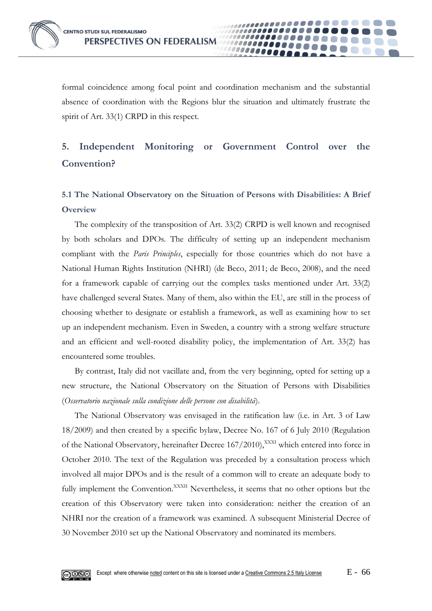

formal coincidence among focal point and coordination mechanism and the substantial absence of coordination with the Regions blur the situation and ultimately frustrate the spirit of Art. 33(1) CRPD in this respect.

00000

# **5. Independent Monitoring or Government Control over the Convention?**

# **5.1 The National Observatory on the Situation of Persons with Disabilities: A Brief Overview**

The complexity of the transposition of Art. 33(2) CRPD is well known and recognised by both scholars and DPOs. The difficulty of setting up an independent mechanism compliant with the *Paris Principles*, especially for those countries which do not have a National Human Rights Institution (NHRI) (de Beco, 2011; de Beco, 2008), and the need for a framework capable of carrying out the complex tasks mentioned under Art. 33(2) have challenged several States. Many of them, also within the EU, are still in the process of choosing whether to designate or establish a framework, as well as examining how to set up an independent mechanism. Even in Sweden, a country with a strong welfare structure and an efficient and well-rooted disability policy, the implementation of Art. 33(2) has encountered some troubles.

By contrast, Italy did not vacillate and, from the very beginning, opted for setting up a new structure, the National Observatory on the Situation of Persons with Disabilities (*Osservatorio nazionale sulla condizione delle persone con disabilità*).

The National Observatory was envisaged in the ratification law (i.e. in Art. 3 of Law 18/2009) and then created by a specific bylaw, Decree No. 167 of 6 July 2010 (Regulation of the National Observatory, hereinafter Decree 167/2010), XXXI which entered into force in October 2010. The text of the Regulation was preceded by a consultation process which involved all major DPOs and is the result of a common will to create an adequate body to fully implement the Convention.<sup>XXXII</sup> Nevertheless, it seems that no other options but the creation of this Observatory were taken into consideration: neither the creation of an NHRI nor the creation of a framework was examined. A subsequent Ministerial Decree of 30 November 2010 set up the National Observatory and nominated its members.

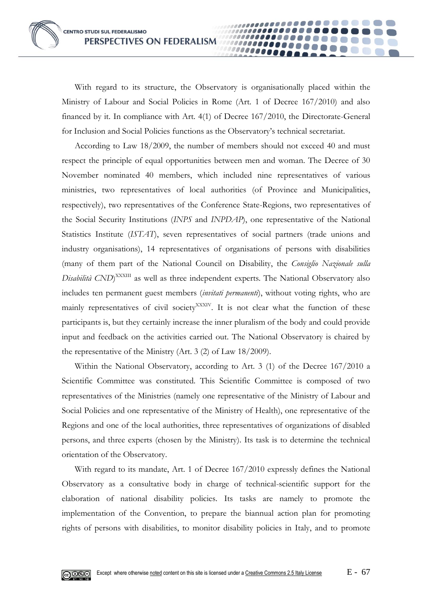With regard to its structure, the Observatory is organisationally placed within the Ministry of Labour and Social Policies in Rome (Art. 1 of Decree 167/2010) and also financed by it. In compliance with Art. 4(1) of Decree 167/2010, the Directorate-General for Inclusion and Social Policies functions as the Observatory's technical secretariat.

00000

According to Law 18/2009, the number of members should not exceed 40 and must respect the principle of equal opportunities between men and woman. The Decree of 30 November nominated 40 members, which included nine representatives of various ministries, two representatives of local authorities (of Province and Municipalities, respectively), two representatives of the Conference State-Regions, two representatives of the Social Security Institutions (*INPS* and *INPDAP*), one representative of the National Statistics Institute (*ISTAT*), seven representatives of social partners (trade unions and industry organisations), 14 representatives of organisations of persons with disabilities (many of them part of the National Council on Disability, the *Consiglio Nazionale sulla Disabilità CND*) XXXIII as well as three independent experts. The National Observatory also includes ten permanent guest members (*invitati permanenti*), without voting rights, who are mainly representatives of civil society<sup>XXXIV</sup>. It is not clear what the function of these participants is, but they certainly increase the inner pluralism of the body and could provide input and feedback on the activities carried out. The National Observatory is chaired by the representative of the Ministry (Art. 3 (2) of Law 18/2009).

Within the National Observatory, according to Art. 3 (1) of the Decree 167/2010 a Scientific Committee was constituted. This Scientific Committee is composed of two representatives of the Ministries (namely one representative of the Ministry of Labour and Social Policies and one representative of the Ministry of Health), one representative of the Regions and one of the local authorities, three representatives of organizations of disabled persons, and three experts (chosen by the Ministry). Its task is to determine the technical orientation of the Observatory.

With regard to its mandate, Art. 1 of Decree 167/2010 expressly defines the National Observatory as a consultative body in charge of technical-scientific support for the elaboration of national disability policies. Its tasks are namely to promote the implementation of the Convention, to prepare the biannual action plan for promoting rights of persons with disabilities, to monitor disability policies in Italy, and to promote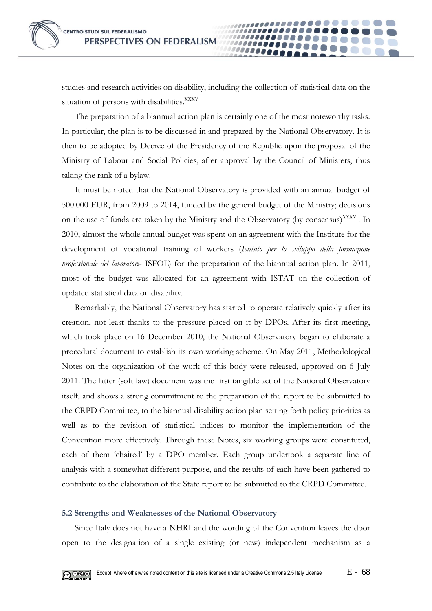studies and research activities on disability, including the collection of statistical data on the situation of persons with disabilities.<sup>XXXV</sup>

00000

The preparation of a biannual action plan is certainly one of the most noteworthy tasks. In particular, the plan is to be discussed in and prepared by the National Observatory. It is then to be adopted by Decree of the Presidency of the Republic upon the proposal of the Ministry of Labour and Social Policies, after approval by the Council of Ministers, thus taking the rank of a bylaw.

It must be noted that the National Observatory is provided with an annual budget of 500.000 EUR, from 2009 to 2014, funded by the general budget of the Ministry; decisions on the use of funds are taken by the Ministry and the Observatory (by consensus)<sup>XXXVI</sup>. In 2010, almost the whole annual budget was spent on an agreement with the Institute for the development of vocational training of workers (*Istituto per lo sviluppo della formazione professionale dei lavoratori*- ISFOL) for the preparation of the biannual action plan. In 2011, most of the budget was allocated for an agreement with ISTAT on the collection of updated statistical data on disability.

Remarkably, the National Observatory has started to operate relatively quickly after its creation, not least thanks to the pressure placed on it by DPOs. After its first meeting, which took place on 16 December 2010, the National Observatory began to elaborate a procedural document to establish its own working scheme. On May 2011, Methodological Notes on the organization of the work of this body were released, approved on 6 July 2011. The latter (soft law) document was the first tangible act of the National Observatory itself, and shows a strong commitment to the preparation of the report to be submitted to the CRPD Committee, to the biannual disability action plan setting forth policy priorities as well as to the revision of statistical indices to monitor the implementation of the Convention more effectively. Through these Notes, six working groups were constituted, each of them 'chaired' by a DPO member. Each group undertook a separate line of analysis with a somewhat different purpose, and the results of each have been gathered to contribute to the elaboration of the State report to be submitted to the CRPD Committee.

#### **5.2 Strengths and Weaknesses of the National Observatory**

Since Italy does not have a NHRI and the wording of the Convention leaves the door open to the designation of a single existing (or new) independent mechanism as a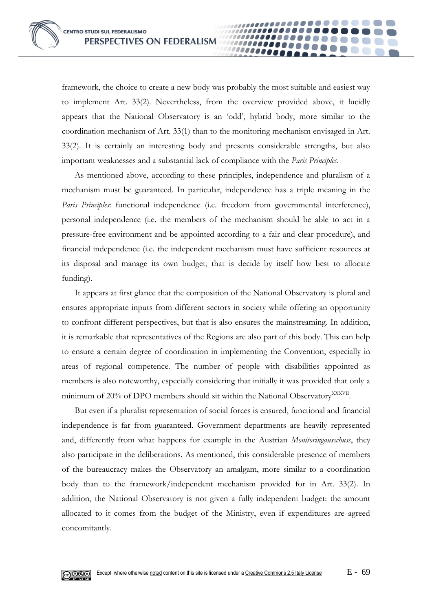framework, the choice to create a new body was probably the most suitable and easiest way to implement Art. 33(2). Nevertheless, from the overview provided above, it lucidly appears that the National Observatory is an 'odd', hybrid body, more similar to the coordination mechanism of Art. 33(1) than to the monitoring mechanism envisaged in Art. 33(2). It is certainly an interesting body and presents considerable strengths, but also important weaknesses and a substantial lack of compliance with the *Paris Principles*.

00000

As mentioned above, according to these principles, independence and pluralism of a mechanism must be guaranteed. In particular, independence has a triple meaning in the *Paris Principles*: functional independence (i.e. freedom from governmental interference), personal independence (i.e. the members of the mechanism should be able to act in a pressure-free environment and be appointed according to a fair and clear procedure), and financial independence (i.e. the independent mechanism must have sufficient resources at its disposal and manage its own budget, that is decide by itself how best to allocate funding).

It appears at first glance that the composition of the National Observatory is plural and ensures appropriate inputs from different sectors in society while offering an opportunity to confront different perspectives, but that is also ensures the mainstreaming. In addition, it is remarkable that representatives of the Regions are also part of this body. This can help to ensure a certain degree of coordination in implementing the Convention, especially in areas of regional competence. The number of people with disabilities appointed as members is also noteworthy, especially considering that initially it was provided that only a minimum of 20% of DPO members should sit within the National Observatory<sup>XXXVII</sup>.

But even if a pluralist representation of social forces is ensured, functional and financial independence is far from guaranteed. Government departments are heavily represented and, differently from what happens for example in the Austrian *Monitoringausschuss*, they also participate in the deliberations. As mentioned, this considerable presence of members of the bureaucracy makes the Observatory an amalgam, more similar to a coordination body than to the framework/independent mechanism provided for in Art. 33(2). In addition, the National Observatory is not given a fully independent budget: the amount allocated to it comes from the budget of the Ministry, even if expenditures are agreed concomitantly.

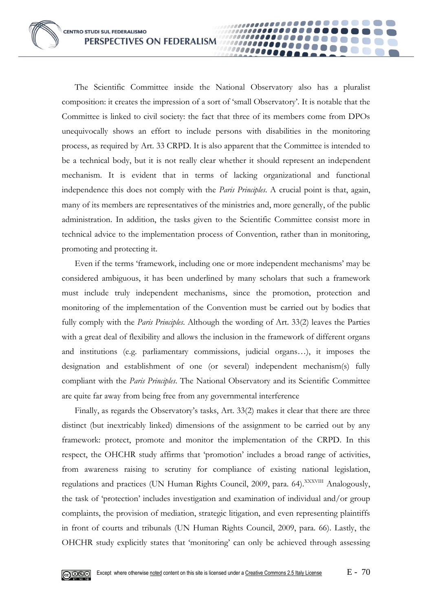The Scientific Committee inside the National Observatory also has a pluralist composition: it creates the impression of a sort of 'small Observatory'. It is notable that the Committee is linked to civil society: the fact that three of its members come from DPOs unequivocally shows an effort to include persons with disabilities in the monitoring process, as required by Art. 33 CRPD. It is also apparent that the Committee is intended to be a technical body, but it is not really clear whether it should represent an independent mechanism. It is evident that in terms of lacking organizational and functional independence this does not comply with the *Paris Principles*. A crucial point is that, again, many of its members are representatives of the ministries and, more generally, of the public administration. In addition, the tasks given to the Scientific Committee consist more in technical advice to the implementation process of Convention, rather than in monitoring, promoting and protecting it.

100000000 10000

Even if the terms 'framework, including one or more independent mechanisms' may be considered ambiguous, it has been underlined by many scholars that such a framework must include truly independent mechanisms, since the promotion, protection and monitoring of the implementation of the Convention must be carried out by bodies that fully comply with the *Paris Principles*. Although the wording of Art. 33(2) leaves the Parties with a great deal of flexibility and allows the inclusion in the framework of different organs and institutions (e.g. parliamentary commissions, judicial organs…), it imposes the designation and establishment of one (or several) independent mechanism(s) fully compliant with the *Paris Principles*. The National Observatory and its Scientific Committee are quite far away from being free from any governmental interference

Finally, as regards the Observatory's tasks, Art. 33(2) makes it clear that there are three distinct (but inextricably linked) dimensions of the assignment to be carried out by any framework: protect, promote and monitor the implementation of the CRPD. In this respect, the OHCHR study affirms that 'promotion' includes a broad range of activities, from awareness raising to scrutiny for compliance of existing national legislation, regulations and practices (UN Human Rights Council, 2009, para. 64).<sup>XXXVIII</sup> Analogously, the task of 'protection' includes investigation and examination of individual and/or group complaints, the provision of mediation, strategic litigation, and even representing plaintiffs in front of courts and tribunals (UN Human Rights Council, 2009, para. 66). Lastly, the OHCHR study explicitly states that 'monitoring' can only be achieved through assessing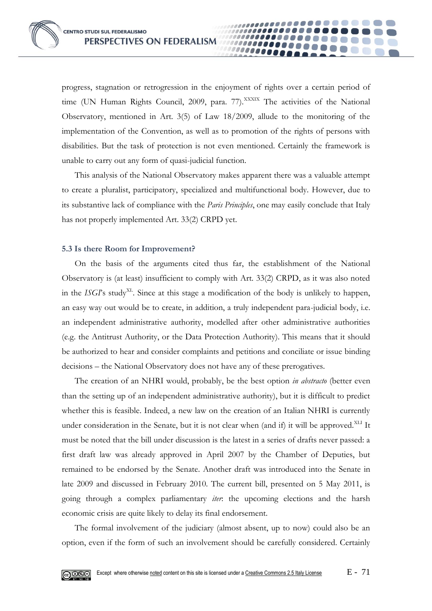progress, stagnation or retrogression in the enjoyment of rights over a certain period of time (UN Human Rights Council, 2009, para. 77).<sup>XXXIX</sup> The activities of the National Observatory, mentioned in Art. 3(5) of Law 18/2009, allude to the monitoring of the implementation of the Convention, as well as to promotion of the rights of persons with disabilities. But the task of protection is not even mentioned. Certainly the framework is unable to carry out any form of quasi-judicial function.

00000

This analysis of the National Observatory makes apparent there was a valuable attempt to create a pluralist, participatory, specialized and multifunctional body. However, due to its substantive lack of compliance with the *Paris Principles*, one may easily conclude that Italy has not properly implemented Art. 33(2) CRPD yet.

#### **5.3 Is there Room for Improvement?**

On the basis of the arguments cited thus far, the establishment of the National Observatory is (at least) insufficient to comply with Art. 33(2) CRPD, as it was also noted in the *ISGP*'s study<sup>XL</sup>. Since at this stage a modification of the body is unlikely to happen, an easy way out would be to create, in addition, a truly independent para-judicial body, i.e. an independent administrative authority, modelled after other administrative authorities (e.g. the Antitrust Authority, or the Data Protection Authority). This means that it should be authorized to hear and consider complaints and petitions and conciliate or issue binding decisions – the National Observatory does not have any of these prerogatives.

The creation of an NHRI would, probably, be the best option *in abstracto* (better even than the setting up of an independent administrative authority), but it is difficult to predict whether this is feasible. Indeed, a new law on the creation of an Italian NHRI is currently under consideration in the Senate, but it is not clear when (and if) it will be approved.<sup>XLI</sup> It must be noted that the bill under discussion is the latest in a series of drafts never passed: a first draft law was already approved in April 2007 by the Chamber of Deputies, but remained to be endorsed by the Senate. Another draft was introduced into the Senate in late 2009 and discussed in February 2010. The current bill, presented on 5 May 2011, is going through a complex parliamentary *iter*: the upcoming elections and the harsh economic crisis are quite likely to delay its final endorsement.

The formal involvement of the judiciary (almost absent, up to now) could also be an option, even if the form of such an involvement should be carefully considered. Certainly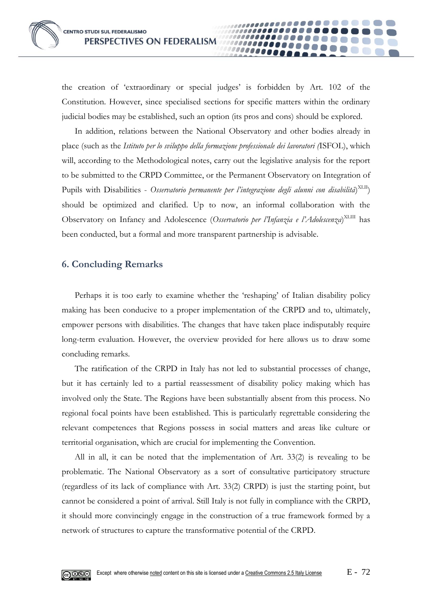the creation of 'extraordinary or special judges' is forbidden by Art. 102 of the Constitution. However, since specialised sections for specific matters within the ordinary judicial bodies may be established, such an option (its pros and cons) should be explored.

00000

In addition, relations between the National Observatory and other bodies already in place (such as the *Istituto per lo sviluppo della formazione professionale dei lavoratori (*ISFOL), which will, according to the Methodological notes, carry out the legislative analysis for the report to be submitted to the CRPD Committee, or the Permanent Observatory on Integration of Pupils with Disabilities - Osservatorio permanente per l'integrazione degli alunni con disabilità)<sup>XLII</sup>) should be optimized and clarified. Up to now, an informal collaboration with the Observatory on Infancy and Adolescence (*Osservatorio per l'Infanzia e l'Adolescenza*) XLIII has been conducted, but a formal and more transparent partnership is advisable.

#### **6. Concluding Remarks**

Perhaps it is too early to examine whether the 'reshaping' of Italian disability policy making has been conducive to a proper implementation of the CRPD and to, ultimately, empower persons with disabilities. The changes that have taken place indisputably require long-term evaluation. However, the overview provided for here allows us to draw some concluding remarks.

The ratification of the CRPD in Italy has not led to substantial processes of change, but it has certainly led to a partial reassessment of disability policy making which has involved only the State. The Regions have been substantially absent from this process. No regional focal points have been established. This is particularly regrettable considering the relevant competences that Regions possess in social matters and areas like culture or territorial organisation, which are crucial for implementing the Convention.

All in all, it can be noted that the implementation of Art. 33(2) is revealing to be problematic. The National Observatory as a sort of consultative participatory structure (regardless of its lack of compliance with Art. 33(2) CRPD) is just the starting point, but cannot be considered a point of arrival. Still Italy is not fully in compliance with the CRPD, it should more convincingly engage in the construction of a true framework formed by a network of structures to capture the transformative potential of the CRPD.

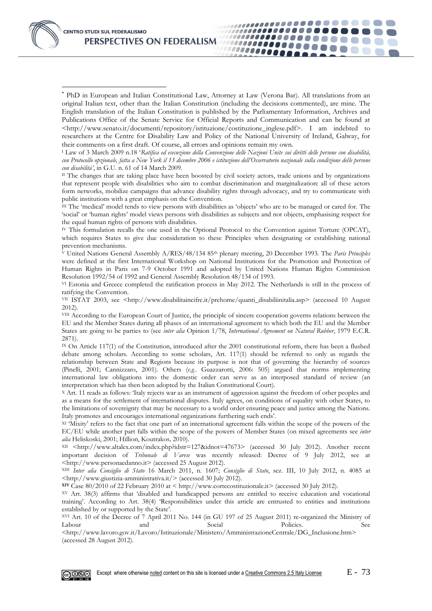

-

 PhD in European and Italian Constitutional Law, Attorney at Law (Verona Bar). All translations from an original Italian text, other than the Italian Constitution (including the decisions commented), are mine. The English translation of the Italian Constitution is published by the Parliamentary Information, Archives and Publications Office of the Senate Service for Official Reports and Communication and can be found at <http://www.senato.it/documenti/repository/istituzione/costituzione\_inglese.pdf>. I am indebted to researchers at the Centre for Disability Law and Policy of the National University of Ireland, Galway, for their comments on a first draft. Of course, all errors and opinions remain my own.

,,,,,,,,,,,,,,,,,,,,,

*\*\*\*\*\*\*\*\*\*\*\*\** ,,,,,,,,,,,,,,

1000000000

1111111111111111

<sup>I</sup> Law of 3 March 2009 n.18 '*Ratifica ed esecuzione della Convenzione delle Nazioni Unite sui diritti delle persone con disabilità, con Protocollo opzionale, fatta a New York il 13 dicembre 2006 e istituzione dell'Osservatorio nazionale sulla condizione delle persone con disabilità'*, in G.U. n. 61 of 14 March 2009.

II The changes that are taking place have been boosted by civil society actors, trade unions and by organizations that represent people with disabilities who aim to combat discrimination and marginalization: all of these actors form networks, mobilize campaigns that advance disability rights through advocacy, and try to communicate with public institutions with a great emphasis on the Convention.

III The 'medical' model tends to view persons with disabilities as 'objects' who are to be managed or cared for. The 'social' or 'human rights' model views persons with disabilities as subjects and not objects, emphasising respect for the equal human rights of persons with disabilities.

IV This formulation recalls the one used in the Optional Protocol to the Convention against Torture (OPCAT), which requires States to give due consideration to these Principles when designating or establishing national prevention mechanisms.

<sup>V</sup> United Nations General Assembly A/RES/48/134 85th plenary meeting, 20 December 1993. The *Paris Principles* were defined at the first International Workshop on National Institutions for the Promotion and Protection of Human Rights in Paris on 7-9 October 1991 and adopted by United Nations Human Rights Commission Resolution 1992/54 of 1992 and General Assembly Resolution 48/134 of 1993.

VI Estonia and Greece completed the ratification process in May 2012. The Netherlands is still in the process of ratifying the Convention.

VII ISTAT 2003, see <http://www.disabilitaincifre.it/prehome/quanti\_disabiliinitalia.asp> (accessed 10 August 2012).

VIII According to the European Court of Justice, the principle of sincere cooperation governs relations between the EU and the Member States during all phases of an international agreement to which both the EU and the Member States are going to be parties to (see *inter alia* Opinion 1/78, *International Agreement on Natural Rubber*, 1979 E.C.R. 2871).

IX On Article 117(1) of the Constitution, introduced after the 2001 constitutional reform, there has been a flushed debate among scholars. According to some scholars, Art. 117(1) should be referred to only as regards the relationship between State and Regions because its purpose is not that of governing the hierarchy of sources (Pinelli, 2001; Cannizzaro, 2001). Others (*e.g.*. Guazzarotti, 2006: 505) argued that norms implementing international law obligations into the domestic order can serve as an interposed standard of review (an interpretation which has then been adopted by the Italian Constitutional Court).

<sup>X</sup> Art. 11 reads as follows: 'Italy rejects war as an instrument of aggression against the freedom of other peoples and as a means for the settlement of international disputes. Italy agrees, on conditions of equality with other States, to the limitations of sovereignty that may be necessary to a world order ensuring peace and justice among the Nations. Italy promotes and encourages international organizations furthering such ends'.

XI 'Mixity' refers to the fact that one part of an international agreement falls within the scope of the powers of the EC/EU while another part falls within the scope of the powers of Member States (on mixed agreements see *inter alia* Heliskoski, 2001; Hillion, Koutrakos*,* 2010).

XII <http://www.altalex.com/index.php?idstr=127&idnot=47673> (accessed 30 July 2012). Another recent important decision of *Tribunale di Varese* was recently released: Decree of 9 July 2012, see at <http://www.personaedanno.it> (accessed 25 August 2012).

XIII *Inter alia Consiglio di Stato* 16 March 2011, n. 1607; *Consiglio di Stato*, sez. III, 10 July 2012, n. 4085 at <http://www.giustizia-amministrativa.it/> (accessed 30 July 2012).

**XIV** Case 80/2010 of 22 February 2010 at < http://www.cortecostituzionale.it> (accessed 30 July 2012).

XV Art. 38(3) affirms that 'disabled and handicapped persons are entitled to receive education and vocational training'. According to Art. 38(4) 'Responsibilities under this article are entrusted to entities and institutions established by or supported by the State'.

XVI Art. 10 of the Decree of 7 April 2011 No. 144 (in GU 197 of 25 August 2011) re-organized the Ministry of Labour and Social Policies. See

<http://www.lavoro.gov.it/Lavoro/Istituzionale/Ministero/AmministrazioneCentrale/DG\_Inclusione.htm> (accessed 28 August 2012).

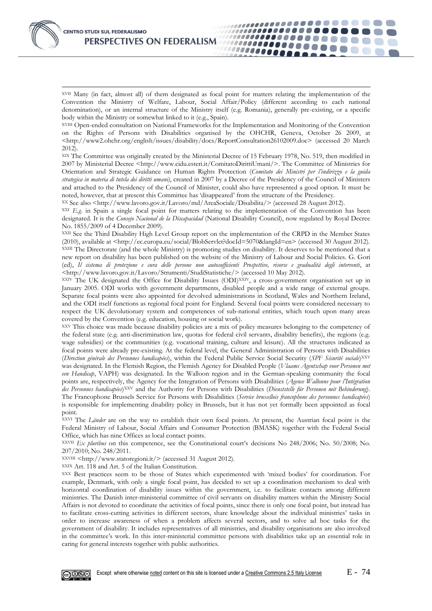

-XVII Many (in fact, almost all) of them designated as focal point for matters relating the implementation of the Convention the Ministry of Welfare, Labour, Social Affair/Policy (different according to each national denomination), or an internal structure of the Ministry itself (e.g. Romania), generally pre-existing, or a specific body within the Ministry or somewhat linked to it (e.g., Spain).

...................

*\*\*\*\*\*\*\*\*\**\*

100000000

,,,,,,,,,,,,,,

111111111111111111

XVIII Open-ended consultation on National Frameworks for the Implementation and Monitoring of the Convention on the Rights of Persons with Disabilities organised by the OHCHR, Geneva, October 26 2009, at <http://www2.ohchr.org/english/issues/disability/docs/ReportConsultation26102009.doc> (accessed 20 March 2012).

XIX The Committee was originally created by the Ministerial Decree of 15 February 1978, No. 519, then modified in 2007 by Ministerial Decree <http://www.cidu.esteri.it/ComitatoDirittiUmani/>. The Committee of Ministries for Orientation and Strategic Guidance on Human Rights Protection (*Comitato dei Ministri per l'indirizzo e la guida strategica in materia di tutela dei diritti umani)*, created in 2007 by a Decree of the Presidency of the Council of Ministers and attached to the Presidency of the Council of Minister, could also have represented a good option. It must be noted, however, that at present this Committee has 'disappeared' from the structure of the Presidency.

XX See also <http://www.lavoro.gov.it/Lavoro/md/AreaSociale/Disabilita/> (accessed 28 August 2012).

XXI *E.g*. in Spain a single focal point for matters relating to the implementation of the Convention has been designated. It is the *Consejo Nacional de la Discapacidad* (National Disability Council), now regulated by Royal Decree No. 1855/2009 of 4 December 2009).

XXII See the Third Disability High Level Group report on the implementation of the CRPD in the Member States (2010), available at <http://ec.europa.eu/social/BlobServlet?docId=5070&langId=en> (accessed 30 August 2012). XXIII The Directorate (and the whole Ministry) is promoting studies on disability. It deserves to be mentioned that a new report on disability has been published on the website of the Ministry of Labour and Social Policies. G. Gori (ed), *Il sistema di protezione e cura delle persone non autosufficienti Prospettive, risorse e gradualità degli interventi*, at <http://www.lavoro.gov.it/Lavoro/Strumenti/StudiStatistiche/> (accessed 10 May 2012).

XXIV The UK designated the Office for Disability Issues (ODI)XXIV, a cross-government organisation set up in January 2005. ODI works with government departments, disabled people and a wide range of external groups. Separate focal points were also appointed for devolved administrations in Scotland, Wales and Northern Ireland, and the ODI itself functions as regional focal point for England. Several focal points were considered necessary to respect the UK devolutionary system and competences of sub-national entities, which touch upon many areas covered by the Convention (e.g. education, housing or social work).

XXV This choice was made because disability policies are a mix of policy measures belonging to the competency of the federal state (e.g. anti-discrimination law, quotas for federal civil servants, disability benefits), the regions (e.g. wage subsidies) or the communities (e.g. vocational training, culture and leisure). All the structures indicated as focal points were already pre-existing. At the federal level, the General Administration of Persons with Disabilities (*Direction générale des Personnes handicapées*), within the Federal Public Service Social Security (*SPF Sécurité sociale*)XXV was designated. In the Flemish Region, the Flemish Agency for Disabled People (*Vlaams Agentschap voor Personen met een Handicap*, VAPH) was designated. In the Walloon region and in the German-speaking community the focal points are, respectively, the Agency for the Integration of Persons with Disabilities (*Agence Wallonne pour l'Intégration des Personnes handicapées*)XXV and the Authority for Persons with Disabilities (*Dienststelle für Personen mit Behinderung*). The Francophone Brussels Service for Persons with Disabilities (*Service bruxellois francophone des personnes handicapées*) is responsible for implementing disability policy in Brussels, but it has not yet formally been appointed as focal point.

XXVI The *Länder* are on the way to establish their own focal points. At present, the Austrian focal point is the Federal Ministry of Labour, Social Affairs and Consumer Protection (BMASK) together with the Federal Social Office, which has nine Offices as local contact points.

XXVII *Ex pluribus* on this competence, see the Constitutional court's decisions No 248/2006; No. 50/2008; No. 207/2010; No. 248/2011.

XXVIII <http://www.statoregioni.it/> (accessed 31 August 2012).

XXIX Art. 118 and Art. 5 of the Italian Constitution.

XXX Best practices seem to be those of States which experimented with 'mixed bodies' for coordination. For example, Denmark, with only a single focal point, has decided to set up a coordination mechanism to deal with horizontal coordination of disability issues within the government, i.e. to facilitate contacts among different ministries. The Danish inter-ministerial committee of civil servants on disability matters within the Ministry Social Affairs is not devoted to coordinate the activities of focal points, since there is only one focal point, but instead has to facilitate cross-cutting activities in different sectors, share knowledge about the individual ministries' tasks in order to increase awareness of when a problem affects several sectors, and to solve ad hoc tasks for the government of disability. It includes representatives of all ministries, and disability organisations are also involved in the committee's work. In this inter-ministerial committee persons with disabilities take up an essential role in caring for general interests together with public authorities.

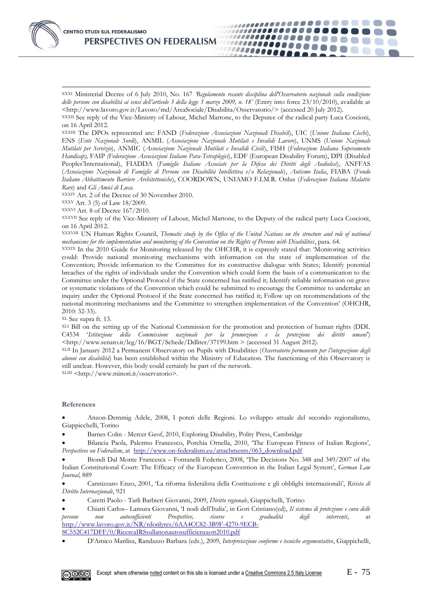

-

XXXI Ministerial Decree of 6 July 2010, No. 167 *'Regolamento recante disciplina dell'Osservatorio nazionale sulla condizione delle persone con disabilità ai sensi dell'articolo 3 della legge 3 marzo 2009, n. 18'* (Entry into force 23/10/2010), available at <http://www.lavoro.gov.it/Lavoro/md/AreaSociale/Disabilita/Osservatorio/> (accessed 20 July 2012).

,,,,,,,,,,,,,,,,,,,,,,

...............

100000000

,,,,,,,,,,,,,,,,

,,,,,,,,,,,,,,,,,,

XXXII See reply of the Vice-Ministry of Labour, Michel Martone, to the Deputee of the radical party Luca Coscioni, on 16 April 2012.

XXXIII The DPOs represented are: FAND (*Federazione Associazioni Nazionali Disabili*), UIC (*Unione Italiana Ciechi*), ENS (*Ente Nazionale Sordi*), ANMIL (*Associazione Nazionale Mutilati e Invalidi Lavoro*), UNMS (*Unione Nazionale Mutilati per Servizio*), ANMIC (*Associazione Nazionale Mutilati e Invalidi Civili*), FISH (*Federazione Italiana Superamento Handicap),* FAIP *(Federazione Associazioni Italiane Para-Tetraplegici*), EDF (European Disability Forum), DPI (Disabled Peoples'International), FIADDA (*Famiglie Italiane Associate per la Difesa dei Diritti degli Audiolesi*), ANFFAS (*Associazione Nazionale di Famiglie di Persone con Disabilità Intellettiva e/o Relazionale*), *Autismo Italia*, FIABA (*Fondo Italiano Abbattimento Barriere Architettoniche*), COORDOWN, UNIAMO F.I.M.R. Onlus (*Federazione Italiana Malattie Rare*) and *Gli Amici di Luca*.

XXXIV Art. 2 of the Decree of 30 November 2010.

XXXV Art. 3 (5) of Law 18/2009.

XXXVI Art. 8 of Decree 167/2010.

XXXVII See reply of the Vice-Ministry of Labour, Michel Martone, to the Deputy of the radical party Luca Coscioni, on 16 April 2012.

XXXVIII UN Human Rights Council, *Thematic study by the Office of the United Nations on the structure and role of national mechanisms for the implementation and monitoring of the Convention on the Rights of Persons with Disabilities*, para. 64.

XXXIX In the 2010 Guide for Monitoring released by the OHCHR, it is expressly stated that: 'Monitoring activities could: Provide national monitoring mechanisms with information on the state of implementation of the Convention; Provide information to the Committee for its constructive dialogue with States; Identify potential breaches of the rights of individuals under the Convention which could form the basis of a communication to the Committee under the Optional Protocol if the State concerned has ratified it; Identify reliable information on grave or systematic violations of the Convention which could be submitted to encourage the Committee to undertake an inquiry under the Optional Protocol if the State concerned has ratified it; Follow up on recommendations of the national monitoring mechanisms and the Committee to strengthen implementation of the Convention' (OHCHR, 2010: 32-33).

XL See supra ft. 13.

XLI Bill on the setting up of the National Commission for the promotion and protection of human rights (DDL C4534 '*Istituzione della Commissione nazionale per la promozione e la protezione dei diritti umani*') <http://www.senato.it/leg/16/BGT/Schede/Ddliter/37199.htm > (accessed 31 August 2012).

XLII In January 2012 a Permanent Observatory on Pupils with Disabilities (*Osservatorio permanente per l'integrazione degli alunni con disabilità*) has been established within the Ministry of Education. The functioning of this Observatory is still unclear. However, this body could certainly be part of the network.

XLIII <http://www.minori.it/osservatorio>.

#### **References**

 Anzon-Demmig Adele, 2008, I poteri delle Regioni. Lo sviluppo attuale del secondo regionalismo, Giappicchelli, Torino

Barnes Colin - Mercer Geof, 2010, Exploring Disability, Polity Press, Cambridge

 Bilancia Paola, Palermo Francesco, Porchia Ornella, 2010, 'The European Fitness of Italian Regions', *Perspectives on Federalism*, at [http://www.on-federalism.eu/attachments/063\\_download.pdf](http://www.on-federalism.eu/attachments/063_download.pdf)

 Biondi Dal Monte Francesca – Fontanelli Federico, 2008, 'The Decisions No. 348 and 349/2007 of the Italian Constitutional Court: The Efficacy of the European Convention in the Italian Legal System', *German Law Journal*, 889

 Cannizzaro Enzo, 2001, 'La riforma federalista della Costituzione e gli obblighi internazionali', *Rivista di Diritto Internazionale*, 921

Caretti Paolo - Tarli Barbieri Giovanni, 2009, *Diritto regionale*, Giappichelli, Torino

 Chiatti Carlos– Lamura Giovanni, 'I nodi dell'Italia', in Gori Cristiano(ed), *Il sistema di protezione e cura delle persone non autosufficienti Prospettive, risorse e gradualità degli interventi*, at [http://www.lavoro.gov.it/NR/rdonlyres/6AA4CC82-3B9F-4270-9ECB-](http://www.lavoro.gov.it/NR/rdonlyres/6AA4CC82-3B9F-4270-9ECB-8C552C417DFF/0/RicercaIRSsullanonautosufficienzaott2010.pdf)[8C552C417DFF/0/RicercaIRSsullanonautosufficienzaott2010.pdf](http://www.lavoro.gov.it/NR/rdonlyres/6AA4CC82-3B9F-4270-9ECB-8C552C417DFF/0/RicercaIRSsullanonautosufficienzaott2010.pdf)

D'Amico Marilisa, Randazzo Barbara (eds.), 2009, *Interpretazione conforme e tecniche argomentative*, Giappichelli,

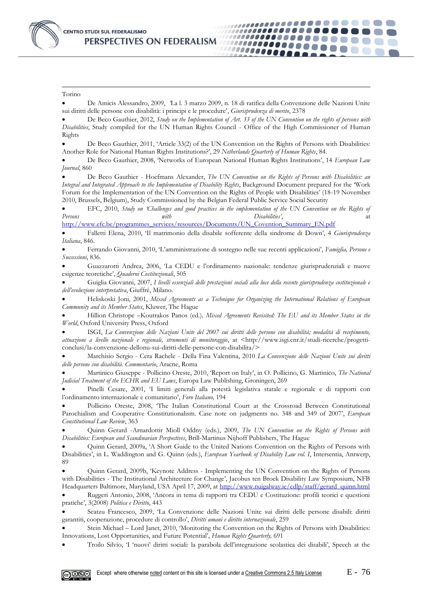-Torino

 De Amicis Alessandro, 2009, *'*La l. 3 marzo 2009, n. 18 di ratifica della Convenzione delle Nazioni Unite sui diritti delle persone con disabilità: i principi e le procedure', *Giurisprudenza di merito*, 2378

..................

,,,,,,,,,,,,,,,,,,,,,

\_\_\_\_\_\_\_\_\_\_\_\_\_\_\_ ...............

1000000000

 De Beco Gauthier, 2012, *Study on the Implementation of Art. 33 of the UN Convention on the rights of persons with Disabilities*, Study compiled for the UN Human Rights Council - Office of the High Commissioner of Human Rights

 De Beco Gauthier, 2011, 'Article 33(2) of the UN Convention on the Rights of Persons with Disabilities: Another Role for National Human Rights Institutions?', 29 *Netherlands Quarterly of Human Rights*, 84.

 De Beco Gauthier, 2008, 'Networks of European National Human Rights Institutions', 14 *European Law Journal*, 860

 De Beco Gauthier - Hoefmans Alexander, *The UN Convention on the Rights of Persons with Disabilities: an Integral and Integrated Approach to the Implementation of Disability Rights*, Background Document prepared for the 'Work Forum for the Implementation of the UN Convention on the Rights of People with Disabilities' (18-19 November 2010, Brussels, Belgium), Study Commissioned by the Belgian Federal Public Service Social Security

 EFC, 2010, *Study on 'Challenges and good practices in the implementation of the UN Convention on the Rights of Persons* and *attitude with* and *pixeling pixeling pixeling pixeling pixeling pixeling pixeling pixeling pixeling pixeling pixeling pixeling pixeling pixeling pixeling pixeling pixeling pixeling pixeling pixeling pixelin* 

[http://www.efc.be/programmes\\_services/resources/Documents/UN\\_Covention\\_Summary\\_EN.pdf](http://www.efc.be/programmes_services/resources/Documents/UN_Covention_Summary_EN.pdf)

 Falletti Elena, 2010, 'Il matrimonio della disabile sofferente della sindrome di Down', 4 *Giurisprudenza Italiana*, 846.

 Ferrando Giovanni, 2010, 'L'amministrazione di sostegno nelle sue recenti applicazioni', *Famiglia, Persone e Successioni*, 836.

 Guazzarotti Andrea, 2006, 'La CEDU e l'ordinamento nazionale: tendenze giurisprudenziali e nuove esigenze teoretiche', *Quaderni Costituzionali*, 505

 Guiglia Giovanni, 2007, *I livelli essenziali delle prestazioni sociali alla luce della recente giurisprudenza costituzionale e dell'evoluzione interpretativa*, Giuffré, Milano.

 Heliskoski Joni, 2001, *Mixed Agreements as a Technique for Organizing the International Relations of European Community and its Member States*, Kluwer, The Hague

 Hillion Christope –Koutrakos Panos (ed.)*, Mixed Agreements Revisited: The EU and its Member States in the World*, Oxford University Press, Oxford

 ISGI, *La Convenzione delle Nazioni Unite del 2007 sui diritti delle persone con disabilità; modalità di recepimento, attuazione a livello nazionale e regionale, strumenti di monitoraggio*, at <http://www.isgi.cnr.it/studi-ricerche/progetticonclusi/la-convenzione-dellonu-sui-diritti-delle-persone-con-disabilita/>

 Marchisio Sergio - Cera Rachele - Della Fina Valentina, 2010 *La Convenzione delle Nazioni Unite sui diritti delle persone con disabilità. Commentario*, Aracne, Roma

 Martinico Giuseppe - Pollicino Oreste, 2010, 'Report on Italy', in O. Pollicino, G. Martinico, *The National Judicial Treatment of the ECHR and EU Laws*, Europa Law Publishing, Groningen, 269

 Pinelli Cesare, 2001, 'I limiti generali alla potestà legislativa statale e regionale e di rapporti con l'ordinamento internazionale e comunitario', *Foro Italiano,* 194

 Pollicino Oreste, 2008, 'The Italian Constitutional Court at the Crossroad Between Constitutional Parochialism and Cooperative Constitutionalism. Case note on judgments no. 348 and 349 of 2007', *European Constitutional Law Review*, 363

 Quinn Gerard -Arnardottir Mioll Oddny (eds.), 2009, *The UN Convention on the Rights of Persons with Disabilities: European and Scandinavian Perspectives*, Brill-Martinus Nijhoff Publishers, The Hague

 Quinn Gerard, 2009a, 'A Short Guide to the United Nations Convention on the Rights of Persons with Disabilities', in L. Waddington and G. Quinn (eds.), *European Yearbook of Disability Law vol. I*, Intersentia, Antwerp, 89

 Quinn Gerard, 2009b, 'Keynote Address - Implementing the UN Convention on the Rights of Persons with Disabilities - The Institutional Architecture for Change', Jacobus ten Broek Disability Law Symposium, NFB Headquarters Baltimore, Maryland, USA April 17, 2009, a[t http://www.nuigalway.ie/cdlp/staff/gerard\\_quinn.html](http://www.nuigalway.ie/cdlp/staff/gerard_quinn.html)

 Ruggeri Antonio, 2008, 'Ancora in tema di rapporti tra CEDU e Costituzione: profili teorici e questioni pratiche', 3(2008) *Politica e Diritto*, 443

 Seatzu Francesco, 2009, 'La Convenzione delle Nazioni Unite sui diritti delle persone disabili: diritti garantiti, cooperazione, procedure di controllo', *Diritti umani e diritto internazionale*, 259

 Stein Michael – Lord Janet, 2010, 'Monitoring the Convention on the Rights of Persons with Disabilities: Innovations, Lost Opportunities, and Future Potential', *Human Rights Quarterly,* 691

Troilo Silvio, 'I 'nuovi' diritti sociali: la parabola dell'integrazione scolastica dei disabili', Speech at the